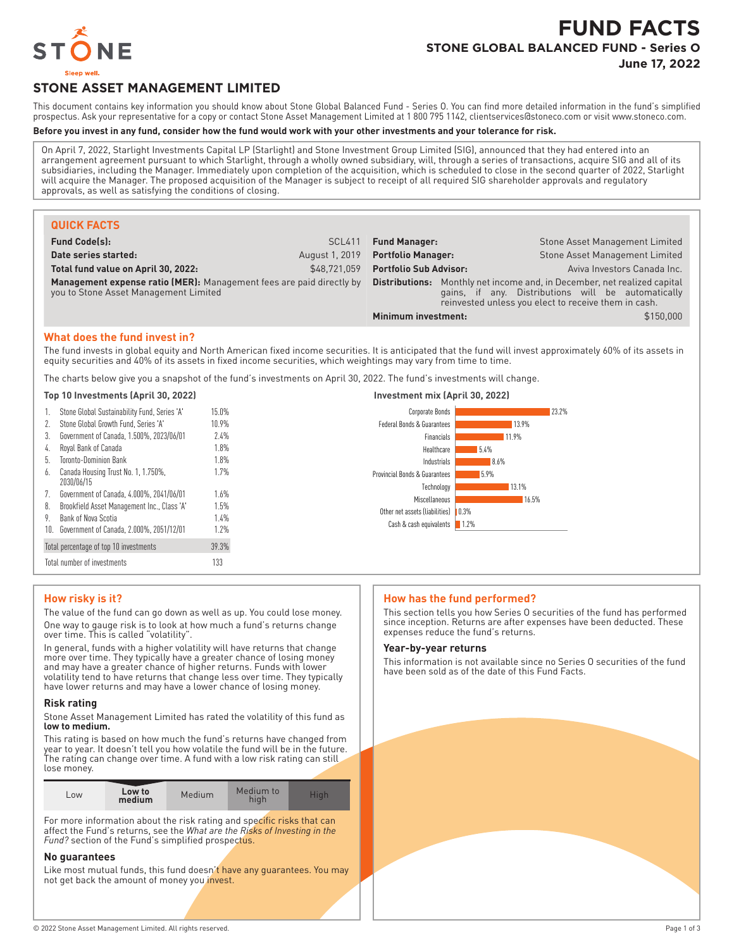

# **FUND FACTS STONE GLOBAL BALANCED FUND - Series O**

**June 17, 2022**

## **STONE ASSET MANAGEMENT LIMITED**

This document contains key information you should know about Stone Global Balanced Fund - Series O. You can find more detailed information in the fund's simplified prospectus. Ask your representative for a copy or contact Stone Asset Management Limited at 1 800 795 1142, clientservices@stoneco.com or visit www.stoneco.com.

#### **Before you invest in any fund, consider how the fund would work with your other investments and your tolerance for risk.**

On April 7, 2022, Starlight Investments Capital LP (Starlight) and Stone Investment Group Limited (SIG), announced that they had entered into an arrangement agreement pursuant to which Starlight, through a wholly owned subsidiary, will, through a series of transactions, acquire SIG and all of its subsidiaries, including the Manager. Immediately upon completion of the acquisition, which is scheduled to close in the second quarter of 2022, Starlight will acquire the Manager. The proposed acquisition of the Manager is subject to receipt of all required SIG shareholder approvals and regulatory approvals, as well as satisfying the conditions of closing.

| <b>QUICK FACTS</b>                                                                                            |                |                               |  |                                                                                                                                                                         |
|---------------------------------------------------------------------------------------------------------------|----------------|-------------------------------|--|-------------------------------------------------------------------------------------------------------------------------------------------------------------------------|
| <b>Fund Code(s):</b>                                                                                          | <b>SCL411</b>  | <b>Fund Manager:</b>          |  | <b>Stone Asset Management Limited</b>                                                                                                                                   |
| Date series started:                                                                                          | August 1, 2019 | <b>Portfolio Manager:</b>     |  | Stone Asset Management Limited                                                                                                                                          |
| Total fund value on April 30, 2022:                                                                           | \$48.721.059   | <b>Portfolio Sub Advisor:</b> |  | Aviva Investors Canada Inc.                                                                                                                                             |
| Management expense ratio (MER): Management fees are paid directly by<br>you to Stone Asset Management Limited |                | Distributions:                |  | Monthly net income and, in December, net realized capital<br>gains, if any. Distributions will be automatically<br>reinvested unless you elect to receive them in cash. |
|                                                                                                               |                | Minimum investment:           |  | \$150,000                                                                                                                                                               |

#### **What does the fund invest in?**

The fund invests in global equity and North American fixed income securities. It is anticipated that the fund will invest approximately 60% of its assets in equity securities and 40% of its assets in fixed income securities, which weightings may vary from time to time.

The charts below give you a snapshot of the fund's investments on April 30, 2022. The fund's investments will change.

#### **Top 10 Investments (April 30, 2022) Investment mix (April 30, 2022)**

| 1.  | Stone Global Sustainability Fund, Series 'A'      | 15.0% |
|-----|---------------------------------------------------|-------|
| 2.  | Stone Global Growth Fund, Series 'A'              | 10.9% |
| 3.  | Government of Canada, 1.500%, 2023/06/01          | 7.4%  |
| 4.  | Royal Bank of Canada                              | 1.8%  |
| 5.  | Toronto-Dominion Bank                             | 1.8%  |
| 6.  | Canada Housing Trust No. 1, 1.750%,<br>2030/06/15 | 1.7%  |
| 7.  | Government of Canada, 4.000%, 2041/06/01          | 1.6%  |
| 8.  | Brookfield Asset Management Inc., Class 'A'       | 1.5%  |
| 9.  | Bank of Nova Scotia                               | 1.4%  |
| 10. | Government of Canada, 2.000%, 2051/12/01          | 1.7%  |
|     | Total percentage of top 10 investments            | 39.3% |
|     | Total number of investments                       | 133   |



#### **How risky is it?**

The value of the fund can go down as well as up. You could lose money. One way to gauge risk is to look at how much a fund's returns change over time. This is called "volatility".

In general, funds with a higher volatility will have returns that change more over time. They typically have a greater chance of losing money and may have a greater chance of higher returns. Funds with lower volatility tend to have returns that change less over time. They typically have lower returns and may have a lower chance of losing money.

#### **Risk rating**

Stone Asset Management Limited has rated the volatility of this fund as **low to medium.**

This rating is based on how much the fund's returns have changed from year to year. It doesn't tell you how volatile the fund will be in the future. The rating can change over time. A fund with a low risk rating can still lose money.

| L <sub>OW</sub> | Low to<br>medium | Medium | Medium to<br>hiah | Hiah |
|-----------------|------------------|--------|-------------------|------|

For more information about the risk rating and specific risks that can affect the Fund's returns, see the *What are the Risks of Investing in the Fund?* section of the Fund's simplified prospectus.

#### **No guarantees**

Like most mutual funds, this fund doesn't have any guarantees. You may not get back the amount of money you invest.

#### **How has the fund performed?**

This section tells you how Series O securities of the fund has performed since inception. Returns are after expenses have been deducted. These expenses reduce the fund's returns.

#### **Year-by-year returns**

This information is not available since no Series O securities of the fund have been sold as of the date of this Fund Facts.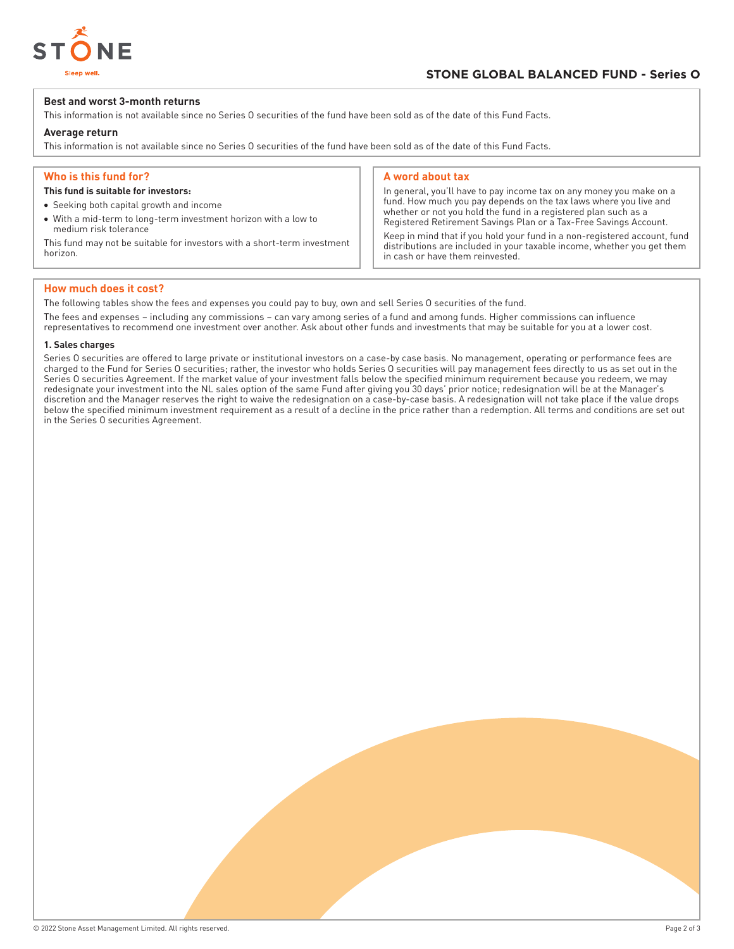

#### **Best and worst 3-month returns**

This information is not available since no Series O securities of the fund have been sold as of the date of this Fund Facts.

#### **Average return**

This information is not available since no Series O securities of the fund have been sold as of the date of this Fund Facts.

#### **Who is this fund for?**

#### **This fund is suitable for investors:**

- Seeking both capital growth and income
- With a mid-term to long-term investment horizon with a low to medium risk tolerance

This fund may not be suitable for investors with a short-term investment horizon.

#### **A word about tax**

In general, you'll have to pay income tax on any money you make on a fund. How much you pay depends on the tax laws where you live and whether or not you hold the fund in a registered plan such as a Registered Retirement Savings Plan or a Tax-Free Savings Account.

Keep in mind that if you hold your fund in a non-registered account, fund distributions are included in your taxable income, whether you get them in cash or have them reinvested.

#### **How much does it cost?**

The following tables show the fees and expenses you could pay to buy, own and sell Series O securities of the fund.

The fees and expenses – including any commissions – can vary among series of a fund and among funds. Higher commissions can influence representatives to recommend one investment over another. Ask about other funds and investments that may be suitable for you at a lower cost.

#### **1. Sales charges**

Series O securities are offered to large private or institutional investors on a case-by case basis. No management, operating or performance fees are charged to the Fund for Series O securities; rather, the investor who holds Series O securities will pay management fees directly to us as set out in the Series O securities Agreement. If the market value of your investment falls below the specified minimum requirement because you redeem, we may redesignate your investment into the NL sales option of the same Fund after giving you 30 days' prior notice; redesignation will be at the Manager's discretion and the Manager reserves the right to waive the redesignation on a case-by-case basis. A redesignation will not take place if the value drops below the specified minimum investment requirement as a result of a decline in the price rather than a redemption. All terms and conditions are set out in the Series O securities Agreement.